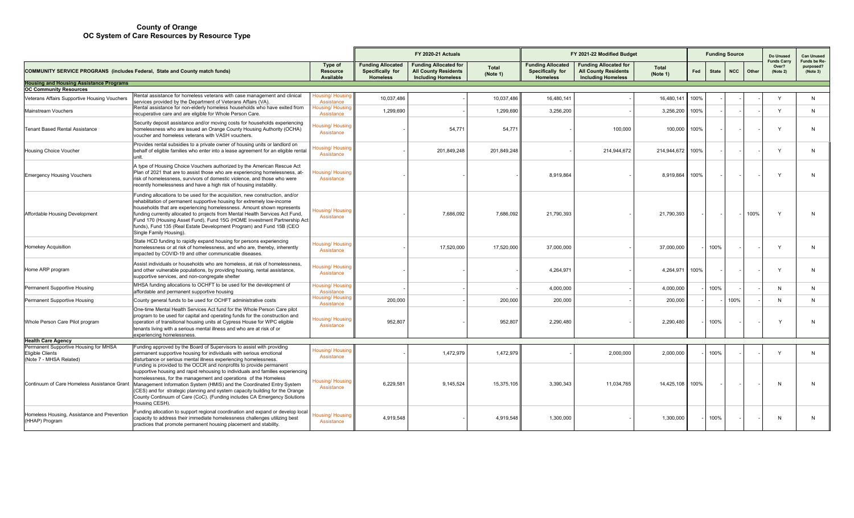|                                                                                             |                                                                                                                                                                                                                                                                                                                                                                                                                                                                                                                                                      |                                       | <b>FY 2020-21 Actuals</b>                                       |                                                                                          |                          | FY 2021-22 Modified Budget                                      |                                                                                          |                   |      |              | <b>Funding Source</b> |       | Do Unused                               | <b>Can Unused</b>                     |
|---------------------------------------------------------------------------------------------|------------------------------------------------------------------------------------------------------------------------------------------------------------------------------------------------------------------------------------------------------------------------------------------------------------------------------------------------------------------------------------------------------------------------------------------------------------------------------------------------------------------------------------------------------|---------------------------------------|-----------------------------------------------------------------|------------------------------------------------------------------------------------------|--------------------------|-----------------------------------------------------------------|------------------------------------------------------------------------------------------|-------------------|------|--------------|-----------------------|-------|-----------------------------------------|---------------------------------------|
| <b>COMMUNITY SERVICE PROGRANS (includes Federal, State and County match funds)</b>          |                                                                                                                                                                                                                                                                                                                                                                                                                                                                                                                                                      | Type of<br>Resource<br>Available      | <b>Funding Allocated</b><br>Specifically for<br><b>Homeless</b> | <b>Funding Allocated for</b><br><b>All County Residents</b><br><b>Including Homeless</b> | <b>Total</b><br>(Note 1) | <b>Funding Allocated</b><br>Specifically for<br><b>Homeless</b> | <b>Funding Allocated for</b><br><b>All County Residents</b><br><b>Including Homeless</b> | Total<br>(Note 1) | Fed  | <b>State</b> | <b>NCC</b>            | Other | <b>Funds Carry</b><br>Over?<br>(Note 2) | Funds be Re-<br>purposed?<br>(Note 3) |
| <b>Housing and Housing Assistance Programs</b><br><b>OC Community Resources</b>             |                                                                                                                                                                                                                                                                                                                                                                                                                                                                                                                                                      |                                       |                                                                 |                                                                                          |                          |                                                                 |                                                                                          |                   |      |              |                       |       |                                         |                                       |
| Veterans Affairs Supportive Housing Vouchers                                                | Rental assistance for homeless veterans with case management and clinical<br>services provided by the Department of Veterans Affairs (VA).                                                                                                                                                                                                                                                                                                                                                                                                           | Housing/ Housir<br>Assistance         | 10.037.486                                                      |                                                                                          | 10,037,486               | 16,480,141                                                      |                                                                                          | 16,480,141        | 100% |              |                       |       | $\mathsf{v}$                            | N                                     |
| Mainstream Vouchers                                                                         | Rental assistance for non-elderly homeless households who have exited from<br>recuperative care and are eligible for Whole Person Care.                                                                                                                                                                                                                                                                                                                                                                                                              | Housing/ Housing<br>Assistance        | 1,299,690                                                       |                                                                                          | 1,299,690                | 3,256,200                                                       |                                                                                          | 3,256,200         | 100% |              |                       |       | Y                                       | N                                     |
| <b>Tenant Based Rental Assistance</b>                                                       | Security deposit assistance and/or moving costs for households experiencing<br>homelessness who are issued an Orange County Housing Authority (OCHA)<br>voucher and homeless veterans with VASH vouchers.                                                                                                                                                                                                                                                                                                                                            | lousing/Housing<br>Assistance         |                                                                 | 54.771                                                                                   | 54.771                   |                                                                 | 100.000                                                                                  | 100,000           | 100% |              |                       |       | $\mathsf{v}$                            | N                                     |
| <b>Housing Choice Voucher</b>                                                               | Provides rental subsidies to a private owner of housing units or landlord on<br>behalf of eligible families who enter into a lease agreement for an eligible rental<br>unit.                                                                                                                                                                                                                                                                                                                                                                         | lousing/ Housing<br>Assistance        |                                                                 | 201,849,248                                                                              | 201,849,248              |                                                                 | 214,944,672                                                                              | 214,944,672       | 100% |              |                       |       | $\checkmark$                            | N                                     |
| <b>Emergency Housing Vouchers</b>                                                           | A type of Housing Choice Vouchers authorized by the American Rescue Act<br>Plan of 2021 that are to assist those who are experiencing homelessness, at-<br>risk of homelessness, survivors of domestic violence, and those who were<br>recently homelessness and have a high risk of housing instability.                                                                                                                                                                                                                                            | <b>Housing/ Housing</b><br>Assistance |                                                                 |                                                                                          |                          | 8.919.864                                                       |                                                                                          | 8,919,864         | 100% |              |                       |       | $\checkmark$                            | N                                     |
| Affordable Housing Development                                                              | Funding allocations to be used for the acquisition, new construction, and/or<br>rehabilitation of permanent supportive housing for extremely low-income<br>households that are experiencing homelessness. Amount shown represents<br>funding currently allocated to projects from Mental Health Services Act Fund,<br>Fund 170 (Housing Asset Fund), Fund 15G (HOME Investment Partnership Act<br>funds), Fund 135 (Real Estate Development Program) and Fund 15B (CEO<br>Single Family Housing).                                                    | <b>Jousing/ Housing</b><br>Assistance |                                                                 | 7.686.092                                                                                | 7,686,092                | 21,790,393                                                      |                                                                                          | 21,790,393        |      |              |                       | 100%  | $\mathsf{v}$                            | N                                     |
| Homekey Acquisition                                                                         | State HCD funding to rapidly expand housing for persons experiencing<br>homelessness or at risk of homelessness, and who are, thereby, inherently<br>impacted by COVID-19 and other communicable diseases.                                                                                                                                                                                                                                                                                                                                           | Housing/Housing<br>Assistance         |                                                                 | 17,520,000                                                                               | 17,520,000               | 37,000,000                                                      |                                                                                          | 37,000,000        |      | 100%         |                       |       | $\mathsf{v}$                            | N                                     |
| Home ARP program                                                                            | Assist individuals or households who are homeless, at risk of homelessness,<br>and other vulnerable populations, by providing housing, rental assistance,<br>supportive services, and non-congregate shelter                                                                                                                                                                                                                                                                                                                                         | <b>Housing/ Housing</b><br>Assistance |                                                                 |                                                                                          |                          | 4.264.971                                                       |                                                                                          | 4,264,971         | 100% |              |                       |       | $\mathsf{v}$                            | N                                     |
| Permanent Supportive Housing                                                                | MHSA funding allocations to OCHFT to be used for the development of<br>affordable and permanent supportive housing                                                                                                                                                                                                                                                                                                                                                                                                                                   | Housing/ Housing<br>Assistance        |                                                                 |                                                                                          |                          | 4,000,000                                                       |                                                                                          | 4,000,000         |      | 100%         |                       |       | N                                       | N                                     |
| Permanent Supportive Housing                                                                | County general funds to be used for OCHFT administrative costs                                                                                                                                                                                                                                                                                                                                                                                                                                                                                       | Housing/Housing<br>Assistance         | 200,000                                                         |                                                                                          | 200,000                  | 200,000                                                         |                                                                                          | 200,000           |      |              | 100%                  |       | N                                       | N                                     |
| Whole Person Care Pilot program                                                             | One-time Mental Health Services Act fund for the Whole Person Care pilot<br>program to be used for capital and operating funds for the construction and<br>operation of transitional housing units at Cypress House for WPC eligible<br>tenants living with a serious mental illness and who are at risk of or<br>experiencing homelessness                                                                                                                                                                                                          | Housing/ Housing<br>Assistance        | 952,807                                                         |                                                                                          | 952,807                  | 2.290.480                                                       |                                                                                          | 2,290,480         |      | 100%         |                       |       |                                         | N                                     |
| <b>Health Care Agency</b>                                                                   |                                                                                                                                                                                                                                                                                                                                                                                                                                                                                                                                                      |                                       |                                                                 |                                                                                          |                          |                                                                 |                                                                                          |                   |      |              |                       |       |                                         |                                       |
| Permanent Supportive Housing for MHSA<br><b>Eligible Clients</b><br>(Note 7 - MHSA Related) | Funding approved by the Board of Supervisors to assist with providing<br>permanent supportive housing for individuals with serious emotional                                                                                                                                                                                                                                                                                                                                                                                                         | Housing/Housin<br>Assistance          |                                                                 | 1,472,979                                                                                | 1,472,979                |                                                                 | 2,000,000                                                                                | 2,000,000         |      | 100%         |                       |       | $\mathsf{Y}$                            | N                                     |
| Continuum of Care Homeless Assistance Grant                                                 | disturbance or serious mental illness experiencing homelessness.<br>Funding is provided to the OCCR and nonprofits to provide permanent<br>supportive housing and rapid rehousing to individuals and families experiencing<br>homelessness, for the management and operations of the Homeless<br>Management Information System (HMIS) and the Coordinated Entry System<br>(CES) and for strategic planning and system capacity building for the Orange<br>County Continuum of Care (CoC). (Funding includes CA Emergency Solutions<br>Housing CESH). | Housing/ Housing<br>Assistance        | 6,229,581                                                       | 9,145,524                                                                                | 15,375,105               | 3,390,343                                                       | 11,034,765                                                                               | 14,425,108        | 100% |              |                       |       | N                                       | N                                     |
| Homeless Housing, Assistance and Prevention<br>(HHAP) Program                               | Funding allocation to support regional coordination and expand or develop local<br>capacity to address their immediate homelessness challenges utilizing best<br>practices that promote permanent housing placement and stability.                                                                                                                                                                                                                                                                                                                   | Housing/Housing<br>Assistance         | 4,919,548                                                       |                                                                                          | 4,919,548                | 1,300,000                                                       |                                                                                          | 1,300,000         |      | 100%         |                       |       | N                                       | N                                     |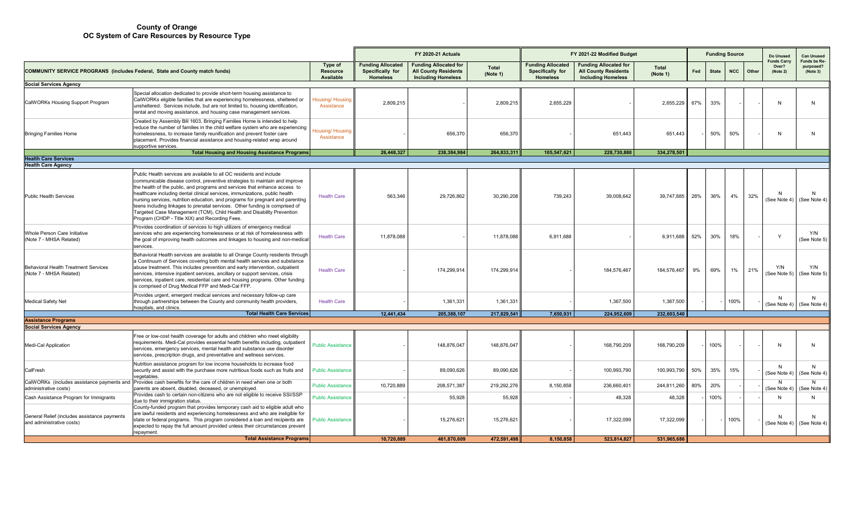|                                                                                    |                                                                                                                                                                                                                                                                                                                                                                                                                                                                                                                                                                                                                |                                         | <b>FY 2020-21 Actuals</b>                                       |                                                                                          |                          | FY 2021-22 Modified Budget                                      |                                                                                          |                          |     | <b>Funding Source</b> |            |       | Do Unused                               | <b>Can Unused</b>                           |
|------------------------------------------------------------------------------------|----------------------------------------------------------------------------------------------------------------------------------------------------------------------------------------------------------------------------------------------------------------------------------------------------------------------------------------------------------------------------------------------------------------------------------------------------------------------------------------------------------------------------------------------------------------------------------------------------------------|-----------------------------------------|-----------------------------------------------------------------|------------------------------------------------------------------------------------------|--------------------------|-----------------------------------------------------------------|------------------------------------------------------------------------------------------|--------------------------|-----|-----------------------|------------|-------|-----------------------------------------|---------------------------------------------|
| <b>COMMUNITY SERVICE PROGRANS (includes Federal, State and County match funds)</b> |                                                                                                                                                                                                                                                                                                                                                                                                                                                                                                                                                                                                                | Type of<br><b>Resource</b><br>Available | <b>Funding Allocated</b><br>Specifically for<br><b>Homeless</b> | <b>Funding Allocated for</b><br><b>All County Residents</b><br><b>Including Homeless</b> | <b>Total</b><br>(Note 1) | <b>Funding Allocated</b><br>Specifically for<br><b>Homeless</b> | <b>Funding Allocated for</b><br><b>All County Residents</b><br><b>Including Homeless</b> | <b>Total</b><br>(Note 1) | Fed | <b>State</b>          | <b>NCC</b> | Other | <b>Funds Carry</b><br>Over?<br>(Note 2) | <b>Funds be Re</b><br>purposed?<br>(Note 3) |
| <b>Social Services Agency</b>                                                      |                                                                                                                                                                                                                                                                                                                                                                                                                                                                                                                                                                                                                |                                         |                                                                 |                                                                                          |                          |                                                                 |                                                                                          |                          |     |                       |            |       |                                         |                                             |
| CalWORKs Housing Support Program                                                   | Special allocation dedicated to provide short-term housing assistance to<br>CalWORKs eligible families that are experiencing homelessness, sheltered or<br>unsheltered. Services include, but are not limited to, housing identification,<br>rental and moving assistance, and housing case management services.                                                                                                                                                                                                                                                                                               | <b>Housing/ Housing</b><br>Assistance   | 2,809,215                                                       |                                                                                          | 2,809,215                | 2.655.229                                                       |                                                                                          | 2,655,229                | 67% | 33%                   |            |       | N                                       | N                                           |
| <b>Bringing Families Home</b>                                                      | Created by Assembly Bill 1603, Bringing Families Home is intended to help<br>reduce the number of families in the child welfare system who are experiencing<br>homelessness, to increase family reunification and prevent foster care<br>placement. Provides financial assistance and housing-related wrap around<br>supportive services.                                                                                                                                                                                                                                                                      | lousing/ Housing<br>Assistance          |                                                                 | 656.370                                                                                  | 656,370                  |                                                                 | 651.443                                                                                  | 651,443                  |     | 50%                   | 50%        |       | N                                       | N                                           |
|                                                                                    | <b>Total Housing and Housing Assistance Programs</b>                                                                                                                                                                                                                                                                                                                                                                                                                                                                                                                                                           |                                         | 26,448,327                                                      | 238,384,984                                                                              | 264,833,311              | 105,547,621                                                     | 228,730,880                                                                              | 334,278,501              |     |                       |            |       |                                         |                                             |
| <b>Health Care Services</b>                                                        |                                                                                                                                                                                                                                                                                                                                                                                                                                                                                                                                                                                                                |                                         |                                                                 |                                                                                          |                          |                                                                 |                                                                                          |                          |     |                       |            |       |                                         |                                             |
| <b>Health Care Agency</b>                                                          |                                                                                                                                                                                                                                                                                                                                                                                                                                                                                                                                                                                                                |                                         |                                                                 |                                                                                          |                          |                                                                 |                                                                                          |                          |     |                       |            |       |                                         |                                             |
| <b>Public Health Services</b>                                                      | Public Health services are available to all OC residents and include<br>communicable disease control, preventive strategies to maintain and improve<br>the health of the public, and programs and services that enhance access to<br>healthcare including dental clinical services, immunizations, public health<br>nursing services, nutrition education, and programs for pregnant and parenting<br>teens including linkages to prenatal services. Other funding is comprised of<br>Targeted Case Management (TCM), Child Health and Disability Prevention<br>Program (CHDP - Title XIX) and Recording Fees. | <b>Health Care</b>                      | 563,346                                                         | 29,726,862                                                                               | 30,290,208               | 739,243                                                         | 39,008,642                                                                               | 39,747,885               | 28% | 36%                   | 4%         | 32%   | N<br>(See Note 4)                       | (See Note 4)                                |
| Whole Person Care Initiative<br>(Note 7 - MHSA Related)                            | Provides coordination of services to high utilizers of emergency medical<br>services who are experiencing homelessness or at risk of homelessness with<br>the goal of improving health outcomes and linkages to housing and non-medical<br>services.                                                                                                                                                                                                                                                                                                                                                           | <b>Health Care</b>                      | 11,878,088                                                      |                                                                                          | 11,878,088               | 6.911.688                                                       |                                                                                          | 6,911,688                | 52% | 30%                   | 18%        |       | Y                                       | Y/N<br>(See Note 5)                         |
| <b>Behavioral Health Treatment Services</b><br>(Note 7 - MHSA Related)             | Behavioral Health services are available to all Orange County residents through<br>a Continuum of Services covering both mental health services and substance<br>abuse treatment. This includes prevention and early intervention, outpatient<br>services, intensive inpatient services, ancillary or support services, crisis<br>services, inpatient care, residential care and housing programs. Other funding<br>is comprised of Drug Medical FFP and Medi-Cal FFP.                                                                                                                                         | <b>Health Care</b>                      |                                                                 | 174,299,914                                                                              | 174,299,914              |                                                                 | 184,576,467                                                                              | 184,576,467              | 9%  | 69%                   | 1%         | 21%   | Y/N<br>(See Note 5)                     | Y/N<br>(See Note 5)                         |
| <b>Medical Safety Net</b>                                                          | Provides urgent, emergent medical services and necessary follow-up care<br>through partnerships between the County and community health providers,<br>nospitals, and clinics.                                                                                                                                                                                                                                                                                                                                                                                                                                  | <b>Health Care</b>                      |                                                                 | 1,361,331                                                                                | 1,361,331                |                                                                 | 1,367,500                                                                                | 1,367,500                |     |                       | 100%       |       | N<br>(See Note 4)                       | N<br>(See Note 4)                           |
|                                                                                    | <b>Total Health Care Services</b>                                                                                                                                                                                                                                                                                                                                                                                                                                                                                                                                                                              |                                         | 12.441.434                                                      | 205.388.107                                                                              | 217.829.541              | 7.650.931                                                       | 224.952.609                                                                              | 232.603.540              |     |                       |            |       |                                         |                                             |
| <b>Assistance Programs</b>                                                         |                                                                                                                                                                                                                                                                                                                                                                                                                                                                                                                                                                                                                |                                         |                                                                 |                                                                                          |                          |                                                                 |                                                                                          |                          |     |                       |            |       |                                         |                                             |
| <b>Social Services Agency</b><br>Medi-Cal Application                              | Free or low-cost health coverage for adults and children who meet eligibility<br>requirements. Medi-Cal provides essential health benefits including, outpatient<br>services, emergency services, mental health and substance use disorder<br>services, prescription drugs, and preventative and wellness services.                                                                                                                                                                                                                                                                                            | <b>Public Assistance</b>                |                                                                 | 148.876.047                                                                              | 148,876,047              |                                                                 | 168,790,209                                                                              | 168,790,209              |     | 100%                  |            |       | N                                       | N                                           |
| CalFresh                                                                           | Nutrition assistance program for low income households to increase food<br>security and assist with the purchase more nutritious foods such as fruits and<br>regetables.                                                                                                                                                                                                                                                                                                                                                                                                                                       | <b>Public Assistance</b>                |                                                                 | 89,090,626                                                                               | 89,090,626               |                                                                 | 100,993,790                                                                              | 100,993,790              | 50% | 35%                   | 15%        |       | N<br>(See Note 4)                       | N<br>(See Note 4)                           |
| CalWORKs (includes assistance payments and<br>administrative costs)                | Provides cash benefits for the care of children in need when one or both<br>parents are absent, disabled, deceased, or unemployed.                                                                                                                                                                                                                                                                                                                                                                                                                                                                             | <b>Public Assistance</b>                | 10,720,889                                                      | 208,571,387                                                                              | 219,292,276              | 8,150,858                                                       | 236,660,401                                                                              | 244,811,260              | 80% | 20%                   |            |       | N<br>(See Note 4)                       | N<br>(See Note 4)                           |
| Cash Assistance Program for Immigrants                                             | Provides cash to certain non-citizens who are not eligible to receive SSI/SSP<br>due to their immigration status.                                                                                                                                                                                                                                                                                                                                                                                                                                                                                              | <b>Public Assistance</b>                |                                                                 | 55,928                                                                                   | 55,928                   |                                                                 | 48,328                                                                                   | 48,328                   |     | 100%                  |            |       | $\mathsf{N}$                            | N                                           |
| General Relief (includes assistance payments<br>and administrative costs)          | County-funded program that provides temporary cash aid to eligible adult who<br>are lawful residents and experiencing homelessness and who are ineligible for<br>state or federal programs. This program considered a loan and recipients are<br>expected to repay the full amount provided unless their circumstances prevent<br>repayment                                                                                                                                                                                                                                                                    | <b>Public Assistance</b>                |                                                                 | 15,276,621                                                                               | 15,276,621               |                                                                 | 17,322,099                                                                               | 17,322,099               |     |                       | 100%       |       | N<br>(See Note 4)                       | $\mathsf{N}$<br>(See Note 4)                |
| <b>Total Assistance Programs</b>                                                   |                                                                                                                                                                                                                                                                                                                                                                                                                                                                                                                                                                                                                |                                         | 10.720.889                                                      | 461.870.609                                                                              | 472.591.498              | 8.150.858                                                       | 523.814.827                                                                              | 531.965.686              |     |                       |            |       |                                         |                                             |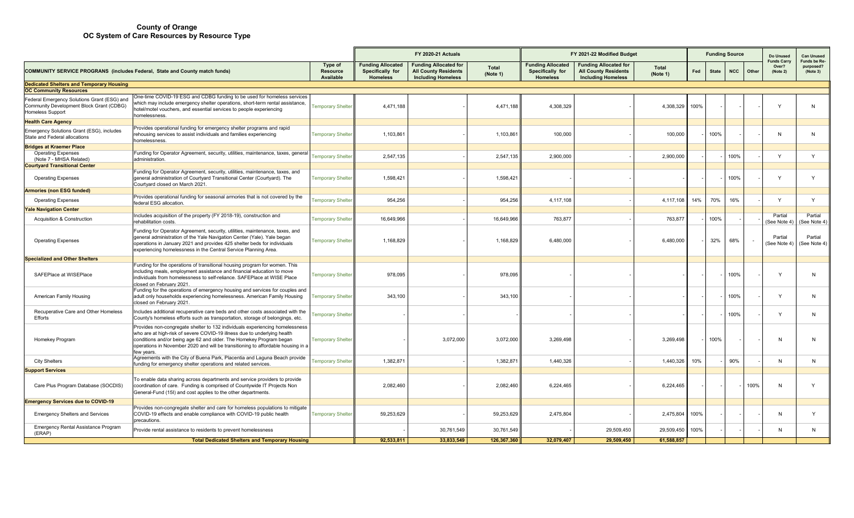|                                                                                                             |                                                                                                                                                                                                                                                                                                                                   |                                  | <b>FY 2020-21 Actuals</b>                                       |                                                                                          |                          | FY 2021-22 Modified Budget                                      |                                                                                          |                          |      |              | <b>Funding Source</b> |       | Do Unused                               | <b>Can Unused</b>                     |  |  |  |
|-------------------------------------------------------------------------------------------------------------|-----------------------------------------------------------------------------------------------------------------------------------------------------------------------------------------------------------------------------------------------------------------------------------------------------------------------------------|----------------------------------|-----------------------------------------------------------------|------------------------------------------------------------------------------------------|--------------------------|-----------------------------------------------------------------|------------------------------------------------------------------------------------------|--------------------------|------|--------------|-----------------------|-------|-----------------------------------------|---------------------------------------|--|--|--|
| COMMUNITY SERVICE PROGRANS (includes Federal, State and County match funds)                                 |                                                                                                                                                                                                                                                                                                                                   | Type of<br>Resource<br>Available | <b>Funding Allocated</b><br>Specifically for<br><b>Homeless</b> | <b>Funding Allocated for</b><br><b>All County Residents</b><br><b>Including Homeless</b> | <b>Total</b><br>(Note 1) | <b>Funding Allocated</b><br>Specifically for<br><b>Homeless</b> | <b>Funding Allocated for</b><br><b>All County Residents</b><br><b>Including Homeless</b> | <b>Total</b><br>(Note 1) | Fed  | <b>State</b> | <b>NCC</b>            | Other | <b>Funds Carry</b><br>Over?<br>(Note 2) | Funds be Re-<br>purposed?<br>(Note 3) |  |  |  |
| <b>Dedicated Shelters and Temporary Housing</b>                                                             |                                                                                                                                                                                                                                                                                                                                   |                                  |                                                                 |                                                                                          |                          |                                                                 |                                                                                          |                          |      |              |                       |       |                                         |                                       |  |  |  |
| <b>OC Community Resources</b><br>One-time COVID-19 ESG and CDBG funding to be used for homeless services    |                                                                                                                                                                                                                                                                                                                                   |                                  |                                                                 |                                                                                          |                          |                                                                 |                                                                                          |                          |      |              |                       |       |                                         |                                       |  |  |  |
| Federal Emergency Solutions Grant (ESG) and<br>Community Development Block Grant (CDBG)<br>Homeless Support | which may include emergency shelter operations, short-term rental assistance,<br>hotel/motel vouchers, and essential services to people experiencing<br>homelessness.                                                                                                                                                             | <b>Temporary Shelte</b>          | 4,471,188                                                       |                                                                                          | 4,471,188                | 4,308,329                                                       |                                                                                          | 4,308,329                | 100% |              |                       |       | $\mathsf{v}$                            | N                                     |  |  |  |
| <b>Health Care Agency</b>                                                                                   |                                                                                                                                                                                                                                                                                                                                   |                                  |                                                                 |                                                                                          |                          |                                                                 |                                                                                          |                          |      |              |                       |       |                                         |                                       |  |  |  |
| Emergency Solutions Grant (ESG), includes<br>State and Federal allocations                                  | Provides operational funding for emergency shelter programs and rapid<br>rehousing services to assist individuals and families experiencing<br>homelessness.                                                                                                                                                                      | <b>Temporary Shelte</b>          | 1,103,861                                                       |                                                                                          | 1,103,861                | 100,000                                                         |                                                                                          | 100,000                  |      | 100%         |                       |       | N                                       | N                                     |  |  |  |
| <b>Bridges at Kraemer Place</b>                                                                             |                                                                                                                                                                                                                                                                                                                                   |                                  |                                                                 |                                                                                          |                          |                                                                 |                                                                                          |                          |      |              |                       |       |                                         |                                       |  |  |  |
| <b>Operating Expenses</b><br>(Note 7 - MHSA Related)<br><b>Courtyard Transitional Center</b>                | Funding for Operator Agreement, security, utilities, maintenance, taxes, general<br>administration                                                                                                                                                                                                                                | <b>Temporary Shelter</b>         | 2,547,135                                                       |                                                                                          | 2,547,135                | 2.900.000                                                       |                                                                                          | 2,900,000                |      |              | 100%                  |       | Y                                       | Y                                     |  |  |  |
| <b>Operating Expenses</b>                                                                                   | Funding for Operator Agreement, security, utilities, maintenance, taxes, and<br>general administration of Courtyard Transitional Center (Courtyard). The<br>Courtyard closed on March 2021                                                                                                                                        | <b>Temporary Shelte</b>          | 1,598,421                                                       |                                                                                          | 1,598,421                |                                                                 |                                                                                          |                          |      |              | 100%                  |       | $\mathsf{Y}$                            | Y                                     |  |  |  |
| <b>Armories (non ESG funded)</b>                                                                            |                                                                                                                                                                                                                                                                                                                                   |                                  |                                                                 |                                                                                          |                          |                                                                 |                                                                                          |                          |      |              |                       |       |                                         |                                       |  |  |  |
| <b>Operating Expenses</b>                                                                                   | Provides operational funding for seasonal armories that is not covered by the<br>federal ESG allocation                                                                                                                                                                                                                           | <b>Temporary Shelte</b>          | 954,256                                                         |                                                                                          | 954,256                  | 4,117,108                                                       |                                                                                          | 4,117,108                | 14%  | 70%          | 16%                   |       | $\checkmark$                            | Y                                     |  |  |  |
| <b>Yale Navigation Center</b>                                                                               | Includes acquisition of the property (FY 2018-19), construction and                                                                                                                                                                                                                                                               |                                  |                                                                 |                                                                                          |                          |                                                                 |                                                                                          |                          |      |              |                       |       | Partial                                 | Partial                               |  |  |  |
| Acquisition & Construction                                                                                  | rehabilitation costs.                                                                                                                                                                                                                                                                                                             | <b>Temporary Shelte</b>          | 16,649,966                                                      |                                                                                          | 16,649,966               | 763,877                                                         |                                                                                          | 763,877                  |      | 100%         |                       |       | (See Note 4)                            | See Note 4)                           |  |  |  |
| <b>Operating Expenses</b>                                                                                   | Funding for Operator Agreement, security, utilities, maintenance, taxes, and<br>general administration of the Yale Navigation Center (Yale). Yale began<br>operations in January 2021 and provides 425 shelter beds for individuals<br>experiencing homelessness in the Central Service Planning Area.                            | <b>Temporary Shelte</b>          | 1,168,829                                                       |                                                                                          | 1,168,829                | 6,480,000                                                       |                                                                                          | 6,480,000                |      | 32%          | 68%                   |       | Partial<br>(See Note 4)                 | Partial<br>(See Note 4)               |  |  |  |
| <b>Specialized and Other Shelters</b>                                                                       |                                                                                                                                                                                                                                                                                                                                   |                                  |                                                                 |                                                                                          |                          |                                                                 |                                                                                          |                          |      |              |                       |       |                                         |                                       |  |  |  |
| SAFEPlace at WISEPlace                                                                                      | Funding for the operations of transitional housing program for women. This<br>including meals, employment assistance and financial education to move<br>individuals from homelessness to self-reliance. SAFEPlace at WISE Place<br>closed on February 2021.                                                                       | <b>Temporary Shelter</b>         | 978,095                                                         |                                                                                          | 978,095                  |                                                                 |                                                                                          |                          |      |              | 100%                  |       | Y                                       | N                                     |  |  |  |
| American Family Housing                                                                                     | Funding for the operations of emergency housing and services for couples and<br>adult only households experiencing homelessness. American Family Housing<br>closed on February 2021                                                                                                                                               | Temporary Shelteı                | 343,100                                                         |                                                                                          | 343,100                  |                                                                 |                                                                                          |                          |      |              | 100%                  |       | Y                                       | N.                                    |  |  |  |
| Recuperative Care and Other Homeless<br>Efforts                                                             | Includes additional recuperative care beds and other costs associated with the<br>County's homeless efforts such as transportation, storage of belongings, etc.                                                                                                                                                                   | <b>Femporary Shelte</b>          |                                                                 |                                                                                          |                          |                                                                 |                                                                                          |                          |      |              | 100%                  |       | Y                                       | N                                     |  |  |  |
| Homekey Program                                                                                             | Provides non-congregate shelter to 132 individuals experiencing homelessness<br>who are at high-risk of severe COVID-19 illness due to underlying health<br>conditions and/or being age 62 and older. The Homekey Program began<br>operations in November 2020 and will be transitioning to affordable housing in a<br>few years. | <b>Temporary Shelter</b>         |                                                                 | 3,072,000                                                                                | 3,072,000                | 3,269,498                                                       |                                                                                          | 3,269,498                |      | 100%         |                       |       | N                                       | N                                     |  |  |  |
| <b>City Shelters</b>                                                                                        | Agreements with the City of Buena Park, Placentia and Laguna Beach provide<br>funding for emergency shelter operations and related services.                                                                                                                                                                                      | <b>Temporary Shelte</b>          | 1,382,871                                                       |                                                                                          | 1,382,87                 | 1,440,326                                                       |                                                                                          | 1,440,326                | 10%  |              | 90%                   |       | N                                       | N                                     |  |  |  |
| <b>Support Services</b>                                                                                     |                                                                                                                                                                                                                                                                                                                                   |                                  |                                                                 |                                                                                          |                          |                                                                 |                                                                                          |                          |      |              |                       |       |                                         |                                       |  |  |  |
| Care Plus Program Database (SOCDIS)                                                                         | To enable data sharing across departments and service providers to provide<br>coordination of care. Funding is comprised of Countywide IT Projects Non<br>General-Fund (15I) and cost applies to the other departments.                                                                                                           |                                  | 2,082,460                                                       |                                                                                          | 2,082,460                | 6,224,465                                                       |                                                                                          | 6,224,465                |      |              |                       | 100%  | N                                       |                                       |  |  |  |
| <b>Emergency Services due to COVID-19</b>                                                                   |                                                                                                                                                                                                                                                                                                                                   |                                  |                                                                 |                                                                                          |                          |                                                                 |                                                                                          |                          |      |              |                       |       |                                         |                                       |  |  |  |
| <b>Emergency Shelters and Services</b>                                                                      | Provides non-congregate shelter and care for homeless populations to mitigate<br>COVID-19 effects and enable compliance with COVID-19 public health<br>precautions.                                                                                                                                                               | <b>Temporary Shelte</b>          | 59,253,629                                                      |                                                                                          | 59,253,629               | 2,475,804                                                       |                                                                                          | 2,475,804                | 100% |              |                       |       | N                                       | Y                                     |  |  |  |
| Emergency Rental Assistance Program<br>(ERAP)                                                               | Provide rental assistance to residents to prevent homelessness                                                                                                                                                                                                                                                                    |                                  |                                                                 | 30,761,549                                                                               | 30,761,549               |                                                                 | 29,509,450                                                                               | 29,509,450               | 100% |              |                       |       | N                                       | N                                     |  |  |  |
|                                                                                                             | <b>Total Dedicated Shelters and Temporary Housing</b>                                                                                                                                                                                                                                                                             |                                  | 92.533.811                                                      | 33.833.549                                                                               | 126,367,360              | 32.079.407                                                      | 29.509.450                                                                               | 61.588.857               |      |              |                       |       |                                         |                                       |  |  |  |